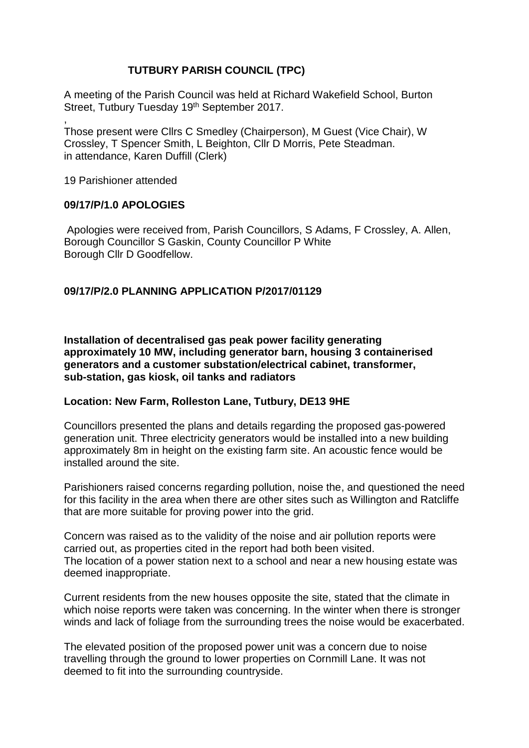## **TUTBURY PARISH COUNCIL (TPC)**

A meeting of the Parish Council was held at Richard Wakefield School, Burton Street, Tutbury Tuesday 19<sup>th</sup> September 2017.

Those present were Cllrs C Smedley (Chairperson), M Guest (Vice Chair), W Crossley, T Spencer Smith, L Beighton, Cllr D Morris, Pete Steadman. in attendance, Karen Duffill (Clerk)

19 Parishioner attended

,

### **09/17/P/1.0 APOLOGIES**

Apologies were received from, Parish Councillors, S Adams, F Crossley, A. Allen, Borough Councillor S Gaskin, County Councillor P White Borough Cllr D Goodfellow.

## **09/17/P/2.0 PLANNING APPLICATION P/2017/01129**

**Installation of decentralised gas peak power facility generating approximately 10 MW, including generator barn, housing 3 containerised generators and a customer substation/electrical cabinet, transformer, sub-station, gas kiosk, oil tanks and radiators**

## **Location: New Farm, Rolleston Lane, Tutbury, DE13 9HE**

Councillors presented the plans and details regarding the proposed gas-powered generation unit. Three electricity generators would be installed into a new building approximately 8m in height on the existing farm site. An acoustic fence would be installed around the site.

Parishioners raised concerns regarding pollution, noise the, and questioned the need for this facility in the area when there are other sites such as Willington and Ratcliffe that are more suitable for proving power into the grid.

Concern was raised as to the validity of the noise and air pollution reports were carried out, as properties cited in the report had both been visited. The location of a power station next to a school and near a new housing estate was deemed inappropriate.

Current residents from the new houses opposite the site, stated that the climate in which noise reports were taken was concerning. In the winter when there is stronger winds and lack of foliage from the surrounding trees the noise would be exacerbated.

The elevated position of the proposed power unit was a concern due to noise travelling through the ground to lower properties on Cornmill Lane. It was not deemed to fit into the surrounding countryside.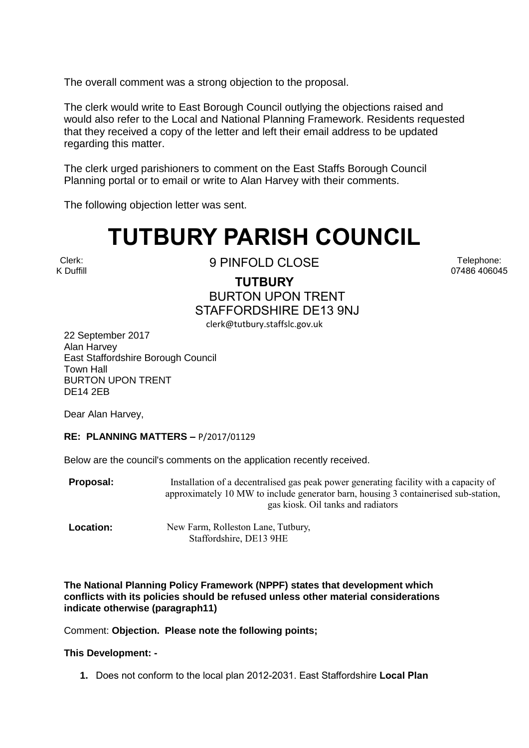The overall comment was a strong objection to the proposal.

The clerk would write to East Borough Council outlying the objections raised and would also refer to the Local and National Planning Framework. Residents requested that they received a copy of the letter and left their email address to be updated regarding this matter.

The clerk urged parishioners to comment on the East Staffs Borough Council Planning portal or to email or write to Alan Harvey with their comments.

The following objection letter was sent.

# **TUTBURY PARISH COUNCIL**

Clerk: K Duffill

9 PINFOLD CLOSE

Telephone: 07486 406045

**TUTBURY** BURTON UPON TRENT STAFFORDSHIRE DE13 9NJ clerk@tutbury.staffslc.gov.uk

22 September 2017 Alan Harvey East Staffordshire Borough Council Town Hall BURTON UPON TRENT DE14 2EB

Dear Alan Harvey,

### **RE: PLANNING MATTERS –** P/2017/01129

Below are the council's comments on the application recently received.

**Proposal:** Installation of a decentralised gas peak power generating facility with a capacity of approximately 10 MW to include generator barn, housing 3 containerised sub-station, gas kiosk. Oil tanks and radiators

**Location:** New Farm, Rolleston Lane, Tutbury, Staffordshire, DE13 9HE

**The National Planning Policy Framework (NPPF) states that development which conflicts with its policies should be refused unless other material considerations indicate otherwise (paragraph11)**

Comment: **Objection. Please note the following points;** 

### **This Development: -**

**1.** Does not conform to the local plan 2012-2031. East Staffordshire **Local Plan**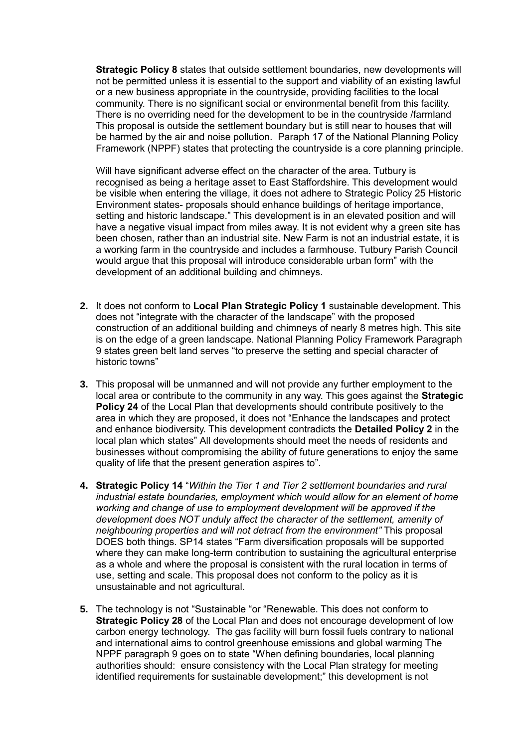**Strategic Policy 8** states that outside settlement boundaries, new developments will not be permitted unless it is essential to the support and viability of an existing lawful or a new business appropriate in the countryside, providing facilities to the local community. There is no significant social or environmental benefit from this facility. There is no overriding need for the development to be in the countryside /farmland This proposal is outside the settlement boundary but is still near to houses that will be harmed by the air and noise pollution. Paraph 17 of the National Planning Policy Framework (NPPF) states that protecting the countryside is a core planning principle.

Will have significant adverse effect on the character of the area. Tutbury is recognised as being a heritage asset to East Staffordshire. This development would be visible when entering the village, it does not adhere to Strategic Policy 25 Historic Environment states- proposals should enhance buildings of heritage importance, setting and historic landscape." This development is in an elevated position and will have a negative visual impact from miles away. It is not evident why a green site has been chosen, rather than an industrial site. New Farm is not an industrial estate, it is a working farm in the countryside and includes a farmhouse. Tutbury Parish Council would argue that this proposal will introduce considerable urban form" with the development of an additional building and chimneys.

- **2.** It does not conform to **Local Plan Strategic Policy 1** sustainable development. This does not "integrate with the character of the landscape" with the proposed construction of an additional building and chimneys of nearly 8 metres high. This site is on the edge of a green landscape. National Planning Policy Framework Paragraph 9 states green belt land serves "to preserve the setting and special character of historic towns"
- **3.** This proposal will be unmanned and will not provide any further employment to the local area or contribute to the community in any way. This goes against the **Strategic Policy 24** of the Local Plan that developments should contribute positively to the area in which they are proposed, it does not "Enhance the landscapes and protect and enhance biodiversity. This development contradicts the **Detailed Policy 2** in the local plan which states" All developments should meet the needs of residents and businesses without compromising the ability of future generations to enjoy the same quality of life that the present generation aspires to".
- **4. Strategic Policy 14** "*Within the Tier 1 and Tier 2 settlement boundaries and rural industrial estate boundaries, employment which would allow for an element of home working and change of use to employment development will be approved if the development does NOT unduly affect the character of the settlement, amenity of neighbouring properties and will not detract from the environment"* This proposal DOES both things. SP14 states "Farm diversification proposals will be supported where they can make long-term contribution to sustaining the agricultural enterprise as a whole and where the proposal is consistent with the rural location in terms of use, setting and scale. This proposal does not conform to the policy as it is unsustainable and not agricultural.
- **5.** The technology is not "Sustainable "or "Renewable. This does not conform to **Strategic Policy 28** of the Local Plan and does not encourage development of low carbon energy technology. The gas facility will burn fossil fuels contrary to national and international aims to control greenhouse emissions and global warming The NPPF paragraph 9 goes on to state "When defining boundaries, local planning authorities should: ensure consistency with the Local Plan strategy for meeting identified requirements for sustainable development;" this development is not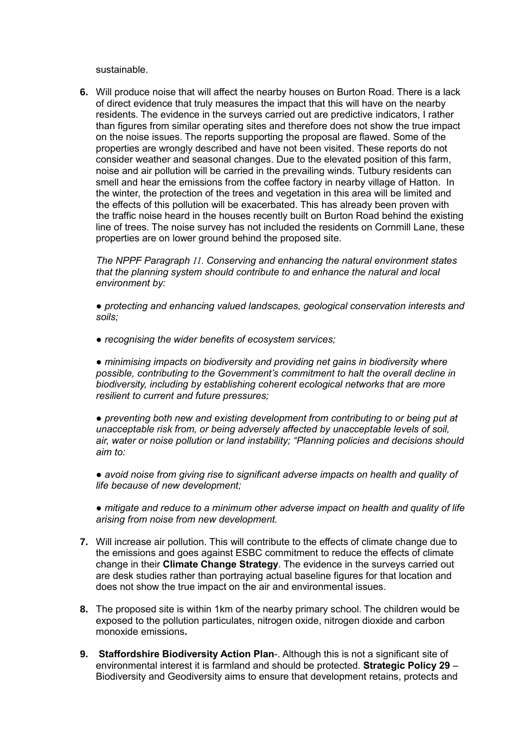sustainable.

**6.** Will produce noise that will affect the nearby houses on Burton Road. There is a lack of direct evidence that truly measures the impact that this will have on the nearby residents. The evidence in the surveys carried out are predictive indicators, I rather than figures from similar operating sites and therefore does not show the true impact on the noise issues. The reports supporting the proposal are flawed. Some of the properties are wrongly described and have not been visited. These reports do not consider weather and seasonal changes. Due to the elevated position of this farm, noise and air pollution will be carried in the prevailing winds. Tutbury residents can smell and hear the emissions from the coffee factory in nearby village of Hatton. In the winter, the protection of the trees and vegetation in this area will be limited and the effects of this pollution will be exacerbated. This has already been proven with the traffic noise heard in the houses recently built on Burton Road behind the existing line of trees. The noise survey has not included the residents on Cornmill Lane, these properties are on lower ground behind the proposed site.

*The NPPF Paragraph 11. Conserving and enhancing the natural environment states that the planning system should contribute to and enhance the natural and local environment by:* 

*● protecting and enhancing valued landscapes, geological conservation interests and soils;* 

*● recognising the wider benefits of ecosystem services;* 

*● minimising impacts on biodiversity and providing net gains in biodiversity where possible, contributing to the Government's commitment to halt the overall decline in biodiversity, including by establishing coherent ecological networks that are more resilient to current and future pressures;* 

*● preventing both new and existing development from contributing to or being put at unacceptable risk from, or being adversely affected by unacceptable levels of soil, air, water or noise pollution or land instability; "Planning policies and decisions should aim to:* 

*● avoid noise from giving rise to significant adverse impacts on health and quality of life because of new development;* 

*● mitigate and reduce to a minimum other adverse impact on health and quality of life arising from noise from new development.*

- **7.** Will increase air pollution. This will contribute to the effects of climate change due to the emissions and goes against ESBC commitment to reduce the effects of climate change in their **Climate Change Strategy**. The evidence in the surveys carried out are desk studies rather than portraying actual baseline figures for that location and does not show the true impact on the air and environmental issues.
- **8.** The proposed site is within 1km of the nearby primary school. The children would be exposed to the pollution particulates, nitrogen oxide, nitrogen dioxide and carbon monoxide emissions**.**
- **9. Staffordshire Biodiversity Action Plan**-. Although this is not a significant site of environmental interest it is farmland and should be protected. **Strategic Policy 29** – Biodiversity and Geodiversity aims to ensure that development retains, protects and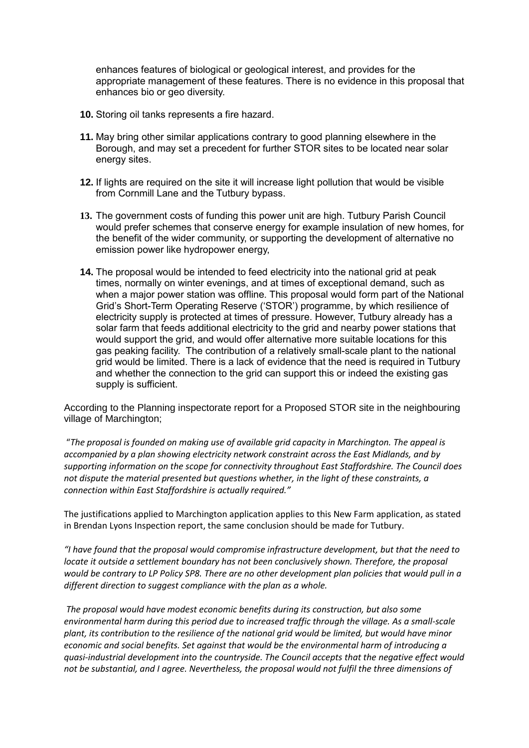enhances features of biological or geological interest, and provides for the appropriate management of these features. There is no evidence in this proposal that enhances bio or geo diversity.

- **10.** Storing oil tanks represents a fire hazard.
- **11.** May bring other similar applications contrary to good planning elsewhere in the Borough, and may set a precedent for further STOR sites to be located near solar energy sites.
- **12.** If lights are required on the site it will increase light pollution that would be visible from Cornmill Lane and the Tutbury bypass.
- **13.** The government costs of funding this power unit are high. Tutbury Parish Council would prefer schemes that conserve energy for example insulation of new homes, for the benefit of the wider community, or supporting the development of alternative no emission power like hydropower energy,
- **14.** The proposal would be intended to feed electricity into the national grid at peak times, normally on winter evenings, and at times of exceptional demand, such as when a major power station was offline. This proposal would form part of the National Grid's Short-Term Operating Reserve ('STOR') programme, by which resilience of electricity supply is protected at times of pressure. However, Tutbury already has a solar farm that feeds additional electricity to the grid and nearby power stations that would support the grid, and would offer alternative more suitable locations for this gas peaking facility. The contribution of a relatively small-scale plant to the national grid would be limited. There is a lack of evidence that the need is required in Tutbury and whether the connection to the grid can support this or indeed the existing gas supply is sufficient.

According to the Planning inspectorate report for a Proposed STOR site in the neighbouring village of Marchington;

"*The proposal is founded on making use of available grid capacity in Marchington. The appeal is accompanied by a plan showing electricity network constraint across the East Midlands, and by supporting information on the scope for connectivity throughout East Staffordshire. The Council does not dispute the material presented but questions whether, in the light of these constraints, a connection within East Staffordshire is actually required."*

The justifications applied to Marchington application applies to this New Farm application, as stated in Brendan Lyons Inspection report, the same conclusion should be made for Tutbury.

*"I have found that the proposal would compromise infrastructure development, but that the need to locate it outside a settlement boundary has not been conclusively shown. Therefore, the proposal would be contrary to LP Policy SP8. There are no other development plan policies that would pull in a different direction to suggest compliance with the plan as a whole.*

*The proposal would have modest economic benefits during its construction, but also some environmental harm during this period due to increased traffic through the village. As a small-scale plant, its contribution to the resilience of the national grid would be limited, but would have minor economic and social benefits. Set against that would be the environmental harm of introducing a quasi-industrial development into the countryside. The Council accepts that the negative effect would not be substantial, and I agree. Nevertheless, the proposal would not fulfil the three dimensions of*